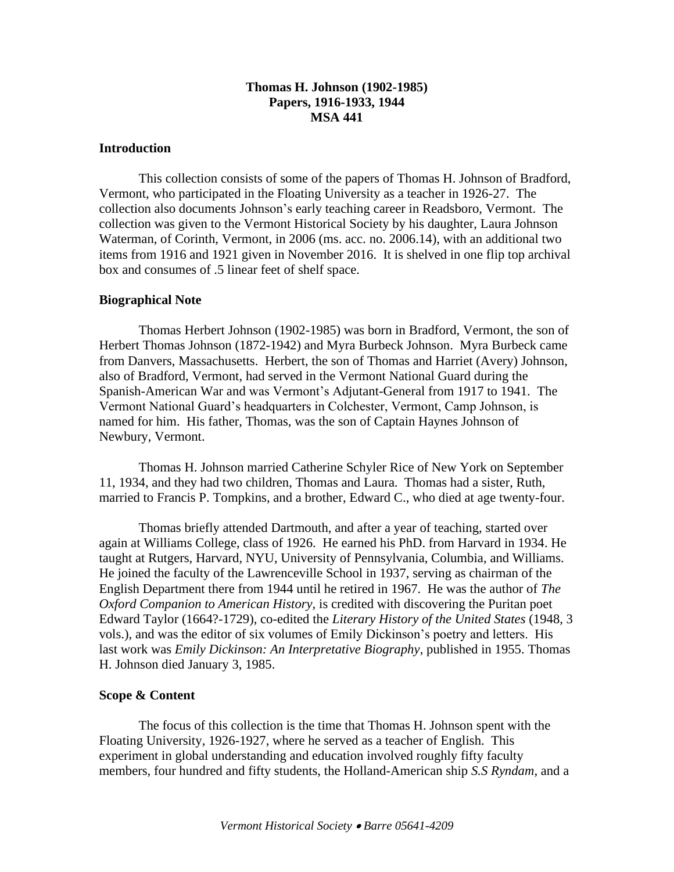# **Thomas H. Johnson (1902-1985) Papers, 1916-1933, 1944 MSA 441**

### **Introduction**

This collection consists of some of the papers of Thomas H. Johnson of Bradford, Vermont, who participated in the Floating University as a teacher in 1926-27. The collection also documents Johnson's early teaching career in Readsboro, Vermont. The collection was given to the Vermont Historical Society by his daughter, Laura Johnson Waterman, of Corinth, Vermont, in 2006 (ms. acc. no. 2006.14), with an additional two items from 1916 and 1921 given in November 2016. It is shelved in one flip top archival box and consumes of .5 linear feet of shelf space.

## **Biographical Note**

Thomas Herbert Johnson (1902-1985) was born in Bradford, Vermont, the son of Herbert Thomas Johnson (1872-1942) and Myra Burbeck Johnson. Myra Burbeck came from Danvers, Massachusetts. Herbert, the son of Thomas and Harriet (Avery) Johnson, also of Bradford, Vermont, had served in the Vermont National Guard during the Spanish-American War and was Vermont's Adjutant-General from 1917 to 1941. The Vermont National Guard's headquarters in Colchester, Vermont, Camp Johnson, is named for him. His father, Thomas, was the son of Captain Haynes Johnson of Newbury, Vermont.

Thomas H. Johnson married Catherine Schyler Rice of New York on September 11, 1934, and they had two children, Thomas and Laura. Thomas had a sister, Ruth, married to Francis P. Tompkins, and a brother, Edward C., who died at age twenty-four.

Thomas briefly attended Dartmouth, and after a year of teaching, started over again at Williams College, class of 1926. He earned his PhD. from Harvard in 1934. He taught at Rutgers, Harvard, NYU, University of Pennsylvania, Columbia, and Williams. He joined the faculty of the Lawrenceville School in 1937, serving as chairman of the English Department there from 1944 until he retired in 1967. He was the author of *The Oxford Companion to American History,* is credited with discovering the Puritan poet Edward Taylor (1664?-1729), co-edited the *Literary History of the United States* (1948, 3 vols.), and was the editor of six volumes of Emily Dickinson's poetry and letters. His last work was *Emily Dickinson: An Interpretative Biography*, published in 1955. Thomas H. Johnson died January 3, 1985.

### **Scope & Content**

The focus of this collection is the time that Thomas H. Johnson spent with the Floating University, 1926-1927, where he served as a teacher of English. This experiment in global understanding and education involved roughly fifty faculty members, four hundred and fifty students, the Holland-American ship *S.S Ryndam*, and a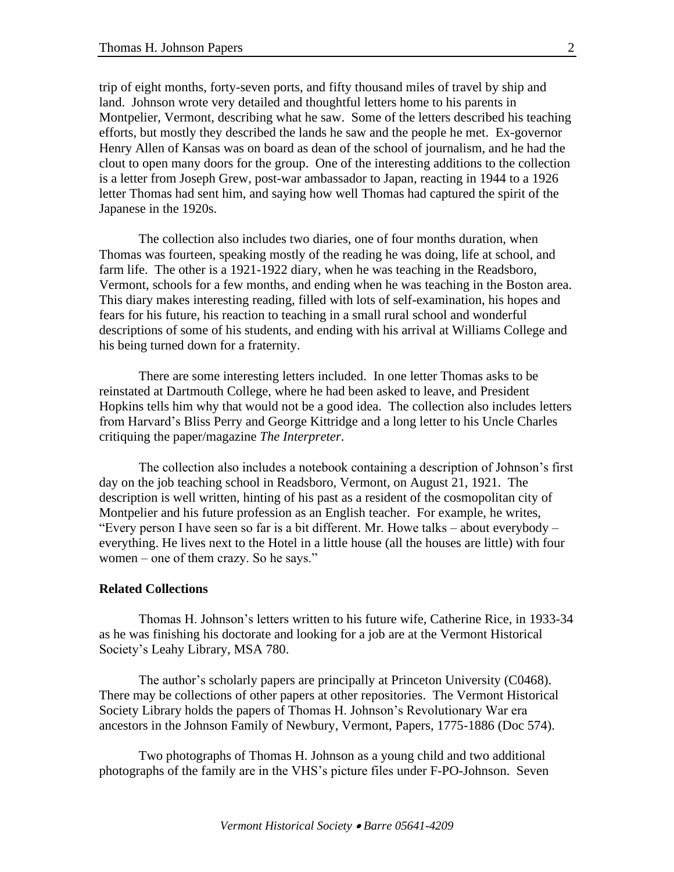trip of eight months, forty-seven ports, and fifty thousand miles of travel by ship and land. Johnson wrote very detailed and thoughtful letters home to his parents in Montpelier, Vermont, describing what he saw. Some of the letters described his teaching efforts, but mostly they described the lands he saw and the people he met. Ex-governor Henry Allen of Kansas was on board as dean of the school of journalism, and he had the clout to open many doors for the group. One of the interesting additions to the collection is a letter from Joseph Grew, post-war ambassador to Japan, reacting in 1944 to a 1926 letter Thomas had sent him, and saying how well Thomas had captured the spirit of the Japanese in the 1920s.

The collection also includes two diaries, one of four months duration, when Thomas was fourteen, speaking mostly of the reading he was doing, life at school, and farm life. The other is a 1921-1922 diary, when he was teaching in the Readsboro, Vermont, schools for a few months, and ending when he was teaching in the Boston area. This diary makes interesting reading, filled with lots of self-examination, his hopes and fears for his future, his reaction to teaching in a small rural school and wonderful descriptions of some of his students, and ending with his arrival at Williams College and his being turned down for a fraternity.

There are some interesting letters included. In one letter Thomas asks to be reinstated at Dartmouth College, where he had been asked to leave, and President Hopkins tells him why that would not be a good idea. The collection also includes letters from Harvard's Bliss Perry and George Kittridge and a long letter to his Uncle Charles critiquing the paper/magazine *The Interpreter*.

The collection also includes a notebook containing a description of Johnson's first day on the job teaching school in Readsboro, Vermont, on August 21, 1921. The description is well written, hinting of his past as a resident of the cosmopolitan city of Montpelier and his future profession as an English teacher. For example, he writes, "Every person I have seen so far is a bit different. Mr. Howe talks – about everybody – everything. He lives next to the Hotel in a little house (all the houses are little) with four women – one of them crazy. So he says."

#### **Related Collections**

Thomas H. Johnson's letters written to his future wife, Catherine Rice, in 1933-34 as he was finishing his doctorate and looking for a job are at the Vermont Historical Society's Leahy Library, MSA 780.

The author's scholarly papers are principally at Princeton University (C0468). There may be collections of other papers at other repositories. The Vermont Historical Society Library holds the papers of Thomas H. Johnson's Revolutionary War era ancestors in the Johnson Family of Newbury, Vermont, Papers, 1775-1886 (Doc 574).

Two photographs of Thomas H. Johnson as a young child and two additional photographs of the family are in the VHS's picture files under F-PO-Johnson. Seven